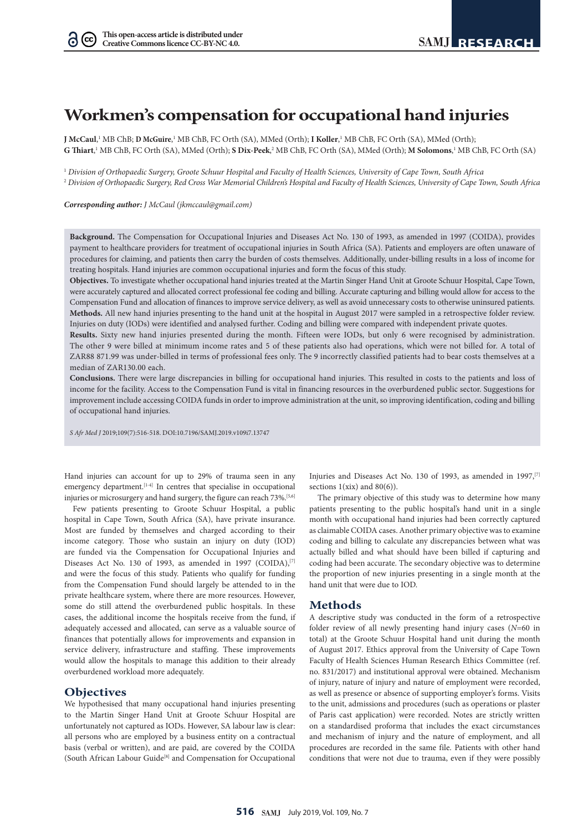$(cc)$ 

# **Workmen's compensation for occupational hand injuries**

**J McCaul**, 1 MB ChB; **D McGuire**, 1 MB ChB, FC Orth (SA), MMed (Orth); **I Koller**, 1 MB ChB, FC Orth (SA), MMed (Orth); G Thiart,<sup>1</sup> MB ChB, FC Orth (SA), MMed (Orth); **S Dix-Peek**,<sup>2</sup> MB ChB, FC Orth (SA), MMed (Orth); **M Solomons**,<sup>1</sup> MB ChB, FC Orth (SA)

<sup>1</sup> *Division of Orthopaedic Surgery, Groote Schuur Hospital and Faculty of Health Sciences, University of Cape Town, South Africa*

<sup>2</sup> *Division of Orthopaedic Surgery, Red Cross War Memorial Children's Hospital and Faculty of Health Sciences, University of Cape Town, South Africa*

*Corresponding author: J McCaul (jkmccaul@gmail.com)*

**Background.** The Compensation for Occupational Injuries and Diseases Act No. 130 of 1993, as amended in 1997 (COIDA), provides payment to healthcare providers for treatment of occupational injuries in South Africa (SA). Patients and employers are often unaware of procedures for claiming, and patients then carry the burden of costs themselves. Additionally, under-billing results in a loss of income for treating hospitals. Hand injuries are common occupational injuries and form the focus of this study.

**Objectives.** To investigate whether occupational hand injuries treated at the Martin Singer Hand Unit at Groote Schuur Hospital, Cape Town, were accurately captured and allocated correct professional fee coding and billing. Accurate capturing and billing would allow for access to the Compensation Fund and allocation of finances to improve service delivery, as well as avoid unnecessary costs to otherwise uninsured patients. **Methods.** All new hand injuries presenting to the hand unit at the hospital in August 2017 were sampled in a retrospective folder review. Injuries on duty (IODs) were identified and analysed further. Coding and billing were compared with independent private quotes.

**Results.** Sixty new hand injuries presented during the month. Fifteen were IODs, but only 6 were recognised by administration. The other 9 were billed at minimum income rates and 5 of these patients also had operations, which were not billed for. A total of ZAR88 871.99 was under-billed in terms of professional fees only. The 9 incorrectly classified patients had to bear costs themselves at a median of ZAR130.00 each.

**Conclusions.** There were large discrepancies in billing for occupational hand injuries. This resulted in costs to the patients and loss of income for the facility. Access to the Compensation Fund is vital in financing resources in the overburdened public sector. Suggestions for improvement include accessing COIDA funds in order to improve administration at the unit, so improving identification, coding and billing of occupational hand injuries.

*S Afr Med J* 2019;109(7):516-518. DOI:10.7196/SAMJ.2019.v109i7.13747

Hand injuries can account for up to 29% of trauma seen in any emergency department.<sup>[1-4]</sup> In centres that specialise in occupational injuries or microsurgery and hand surgery, the figure can reach 73%.<sup>[5,6]</sup>

Few patients presenting to Groote Schuur Hospital, a public hospital in Cape Town, South Africa (SA), have private insurance. Most are funded by themselves and charged according to their income category. Those who sustain an injury on duty (IOD) are funded via the Compensation for Occupational Injuries and Diseases Act No. 130 of 1993, as amended in 1997 (COIDA), $[7]$ and were the focus of this study. Patients who qualify for funding from the Compensation Fund should largely be attended to in the private healthcare system, where there are more resources. However, some do still attend the overburdened public hospitals. In these cases, the additional income the hospitals receive from the fund, if adequately accessed and allocated, can serve as a valuable source of finances that potentially allows for improvements and expansion in service delivery, infrastructure and staffing. These improvements would allow the hospitals to manage this addition to their already overburdened workload more adequately.

## **Objectives**

We hypothesised that many occupational hand injuries presenting to the Martin Singer Hand Unit at Groote Schuur Hospital are unfortunately not captured as IODs. However, SA labour law is clear: all persons who are employed by a business entity on a contractual basis (verbal or written), and are paid, are covered by the COIDA (South African Labour Guide[8] and Compensation for Occupational

Injuries and Diseases Act No. 130 of 1993, as amended in 1997,<sup>[7]</sup> sections  $1(xix)$  and  $80(6)$ ).

The primary objective of this study was to determine how many patients presenting to the public hospital's hand unit in a single month with occupational hand injuries had been correctly captured as claimable COIDA cases. Another primary objective was to examine coding and billing to calculate any discrepancies between what was actually billed and what should have been billed if capturing and coding had been accurate. The secondary objective was to determine the proportion of new injuries presenting in a single month at the hand unit that were due to IOD.

# **Methods**

A descriptive study was conducted in the form of a retrospective folder review of all newly presenting hand injury cases (*N*=60 in total) at the Groote Schuur Hospital hand unit during the month of August 2017. Ethics approval from the University of Cape Town Faculty of Health Sciences Human Research Ethics Committee (ref. no. 831/2017) and institutional approval were obtained. Mechanism of injury, nature of injury and nature of employment were recorded, as well as presence or absence of supporting employer's forms. Visits to the unit, admissions and procedures (such as operations or plaster of Paris cast application) were recorded. Notes are strictly written on a standardised proforma that includes the exact circumstances and mechanism of injury and the nature of employment, and all procedures are recorded in the same file. Patients with other hand conditions that were not due to trauma, even if they were possibly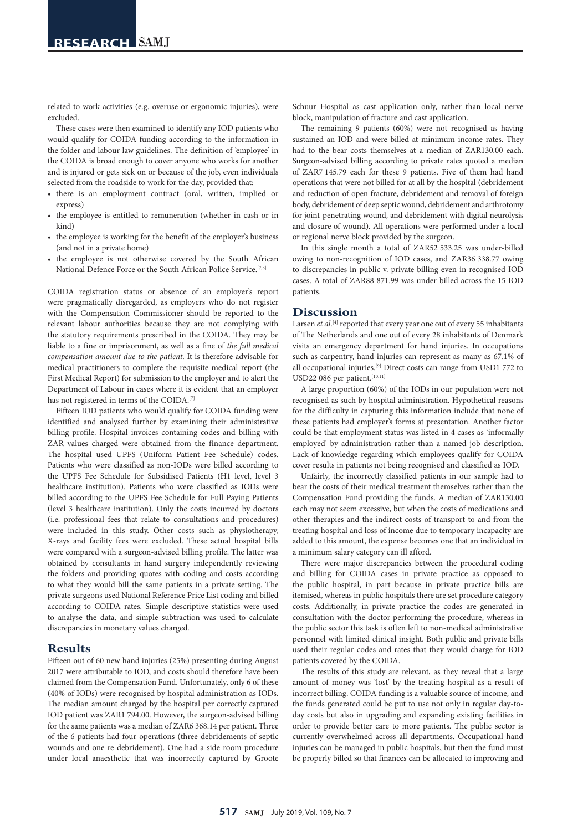related to work activities (e.g. overuse or ergonomic injuries), were excluded.

These cases were then examined to identify any IOD patients who would qualify for COIDA funding according to the information in the folder and labour law guidelines. The definition of 'employee' in the COIDA is broad enough to cover anyone who works for another and is injured or gets sick on or because of the job, even individuals selected from the roadside to work for the day, provided that:

- there is an employment contract (oral, written, implied or express)
- the employee is entitled to remuneration (whether in cash or in kind)
- the employee is working for the benefit of the employer's business (and not in a private home)
- the employee is not otherwise covered by the South African National Defence Force or the South African Police Service.[7,8]

COIDA registration status or absence of an employer's report were pragmatically disregarded, as employers who do not register with the Compensation Commissioner should be reported to the relevant labour authorities because they are not complying with the statutory requirements prescribed in the COIDA. They may be liable to a fine or imprisonment, as well as a fine of *the full medical compensation amount due to the patient*. It is therefore advisable for medical practitioners to complete the requisite medical report (the First Medical Report) for submission to the employer and to alert the Department of Labour in cases where it is evident that an employer has not registered in terms of the COIDA.<sup>[7]</sup>

Fifteen IOD patients who would qualify for COIDA funding were identified and analysed further by examining their administrative billing profile. Hospital invoices containing codes and billing with ZAR values charged were obtained from the finance department. The hospital used UPFS (Uniform Patient Fee Schedule) codes. Patients who were classified as non-IODs were billed according to the UPFS Fee Schedule for Subsidised Patients (H1 level, level 3 healthcare institution). Patients who were classified as IODs were billed according to the UPFS Fee Schedule for Full Paying Patients (level 3 healthcare institution). Only the costs incurred by doctors (i.e. professional fees that relate to consultations and procedures) were included in this study. Other costs such as physiotherapy, X-rays and facility fees were excluded. These actual hospital bills were compared with a surgeon-advised billing profile. The latter was obtained by consultants in hand surgery independently reviewing the folders and providing quotes with coding and costs according to what they would bill the same patients in a private setting. The private surgeons used National Reference Price List coding and billed according to COIDA rates. Simple descriptive statistics were used to analyse the data, and simple subtraction was used to calculate discrepancies in monetary values charged.

## **Results**

Fifteen out of 60 new hand injuries (25%) presenting during August 2017 were attributable to IOD, and costs should therefore have been claimed from the Compensation Fund. Unfortunately, only 6 of these (40% of IODs) were recognised by hospital administration as IODs. The median amount charged by the hospital per correctly captured IOD patient was ZAR1 794.00. However, the surgeon-advised billing for the same patients was a median of ZAR6 368.14 per patient. Three of the 6 patients had four operations (three debridements of septic wounds and one re-debridement). One had a side-room procedure under local anaesthetic that was incorrectly captured by Groote

Schuur Hospital as cast application only, rather than local nerve block, manipulation of fracture and cast application.

The remaining 9 patients (60%) were not recognised as having sustained an IOD and were billed at minimum income rates. They had to the bear costs themselves at a median of ZAR130.00 each. Surgeon-advised billing according to private rates quoted a median of ZAR7 145.79 each for these 9 patients. Five of them had hand operations that were not billed for at all by the hospital (debridement and reduction of open fracture, debridement and removal of foreign body, debridement of deep septic wound, debridement and arthrotomy for joint-penetrating wound, and debridement with digital neurolysis and closure of wound). All operations were performed under a local or regional nerve block provided by the surgeon.

In this single month a total of ZAR52 533.25 was under-billed owing to non-recognition of IOD cases, and ZAR36 338.77 owing to discrepancies in public v. private billing even in recognised IOD cases. A total of ZAR88 871.99 was under-billed across the 15 IOD patients.

### **Discussion**

Larsen *et al*.<sup>[4]</sup> reported that every year one out of every 55 inhabitants of The Netherlands and one out of every 28 inhabitants of Denmark visits an emergency department for hand injuries. In occupations such as carpentry, hand injuries can represent as many as 67.1% of all occupational injuries.[9] Direct costs can range from USD1 772 to USD22 086 per patient.[10,11]

A large proportion (60%) of the IODs in our population were not recognised as such by hospital administration. Hypothetical reasons for the difficulty in capturing this information include that none of these patients had employer's forms at presentation. Another factor could be that employment status was listed in 4 cases as 'informally employed' by administration rather than a named job description. Lack of knowledge regarding which employees qualify for COIDA cover results in patients not being recognised and classified as IOD.

Unfairly, the incorrectly classified patients in our sample had to bear the costs of their medical treatment themselves rather than the Compensation Fund providing the funds. A median of ZAR130.00 each may not seem excessive, but when the costs of medications and other therapies and the indirect costs of transport to and from the treating hospital and loss of income due to temporary incapacity are added to this amount, the expense becomes one that an individual in a minimum salary category can ill afford.

There were major discrepancies between the procedural coding and billing for COIDA cases in private practice as opposed to the public hospital, in part because in private practice bills are itemised, whereas in public hospitals there are set procedure category costs. Additionally, in private practice the codes are generated in consultation with the doctor performing the procedure, whereas in the public sector this task is often left to non-medical administrative personnel with limited clinical insight. Both public and private bills used their regular codes and rates that they would charge for IOD patients covered by the COIDA.

The results of this study are relevant, as they reveal that a large amount of money was 'lost' by the treating hospital as a result of incorrect billing. COIDA funding is a valuable source of income, and the funds generated could be put to use not only in regular day-today costs but also in upgrading and expanding existing facilities in order to provide better care to more patients. The public sector is currently overwhelmed across all departments. Occupational hand injuries can be managed in public hospitals, but then the fund must be properly billed so that finances can be allocated to improving and